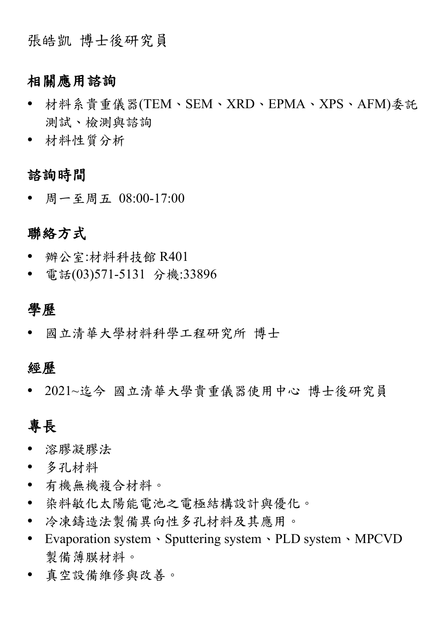張皓凱 博士後研究員

## 相關應用諮詢

- 材料系貴重儀器(TEM、SEM、XRD、EPMA、XPS、AFM)委託 測試、檢測與諮詢
- 材料性質分析

諮詢時間

周一至周五 08:00-17:00

### 聯絡方式

- 辦公室:材料科技館 R401
- 電話(03)571-5131 分機:33896

#### 學歷

國立清華大學材料科學工程研究所 博士

#### 經歷

2021~迄今 國立清華大學貴重儀器使用中心 博士後研究員

# 專長

- 溶膠凝膠法
- 多孔材料
- 有機無機複合材料。
- 染料敏化太陽能電池之電極結構設計與優化。
- 冷凍鑄造法製備異向性多孔材料及其應用。
- Evaporation system、Sputtering system、PLD system、MPCVD 製備薄膜材料。
- 真空設備維修與改善。